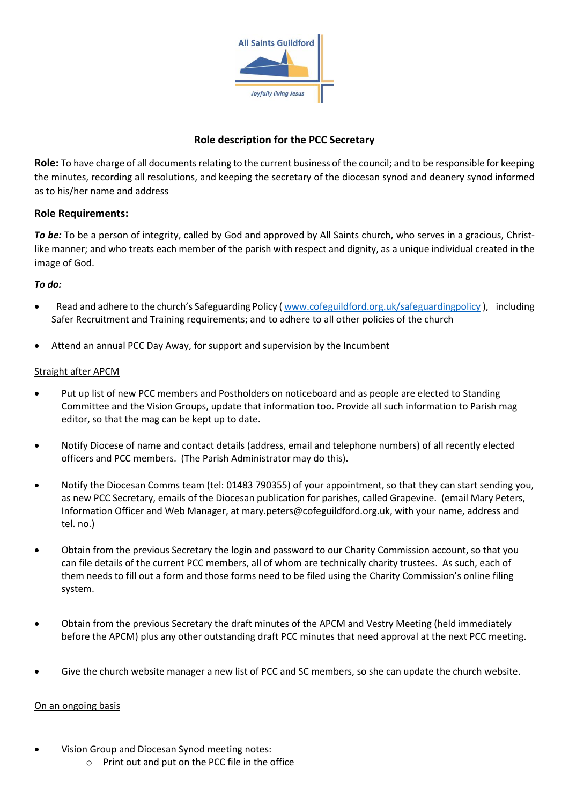

# **Role description for the PCC Secretary**

**Role:** To have charge of all documents relating to the current business of the council; and to be responsible for keeping the minutes, recording all resolutions, and keeping the secretary of the diocesan synod and deanery synod informed as to his/her name and address

## **Role Requirements:**

*To be:* To be a person of integrity, called by God and approved by All Saints church, who serves in a gracious, Christlike manner; and who treats each member of the parish with respect and dignity, as a unique individual created in the image of God.

### *To do:*

- Read and adhere to the church's Safeguarding Policy ([www.cofeguildford.org.uk/safeguardingpolicy](http://www.cofeguildford.org.uk/safeguardingpolicy)), including Safer Recruitment and Training requirements; and to adhere to all other policies of the church
- Attend an annual PCC Day Away, for support and supervision by the Incumbent

#### Straight after APCM

- Put up list of new PCC members and Postholders on noticeboard and as people are elected to Standing Committee and the Vision Groups, update that information too. Provide all such information to Parish mag editor, so that the mag can be kept up to date.
- Notify Diocese of name and contact details (address, email and telephone numbers) of all recently elected officers and PCC members. (The Parish Administrator may do this).
- Notify the Diocesan Comms team (tel: 01483 790355) of your appointment, so that they can start sending you, as new PCC Secretary, emails of the Diocesan publication for parishes, called Grapevine. (email Mary Peters, Information Officer and Web Manager, at [mary.peters@cofeguildford.org.uk,](mailto:mary.peters@cofeguildford.org.uk) with your name, address and tel. no.)
- Obtain from the previous Secretary the login and password to our Charity Commission account, so that you can file details of the current PCC members, all of whom are technically charity trustees. As such, each of them needs to fill out a form and those forms need to be filed using the Charity Commission's online filing system.
- Obtain from the previous Secretary the draft minutes of the APCM and Vestry Meeting (held immediately before the APCM) plus any other outstanding draft PCC minutes that need approval at the next PCC meeting.
- Give the church website manager a new list of PCC and SC members, so she can update the church website.

### On an ongoing basis

- Vision Group and Diocesan Synod meeting notes:
	- o Print out and put on the PCC file in the office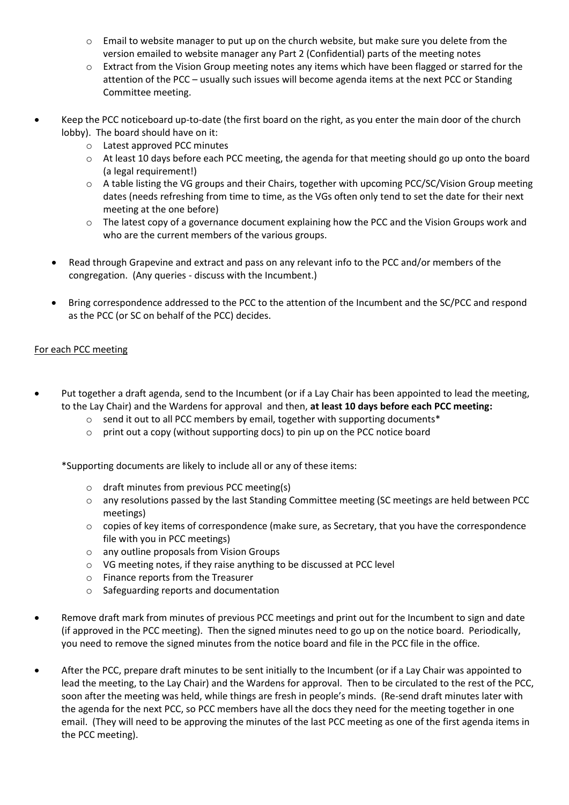- $\circ$  Email to website manager to put up on the church website, but make sure you delete from the version emailed to website manager any Part 2 (Confidential) parts of the meeting notes
- $\circ$  Extract from the Vision Group meeting notes any items which have been flagged or starred for the attention of the PCC – usually such issues will become agenda items at the next PCC or Standing Committee meeting.
- Keep the PCC noticeboard up-to-date (the first board on the right, as you enter the main door of the church lobby). The board should have on it:
	- o Latest approved PCC minutes
	- $\circ$  At least 10 days before each PCC meeting, the agenda for that meeting should go up onto the board (a legal requirement!)
	- o A table listing the VG groups and their Chairs, together with upcoming PCC/SC/Vision Group meeting dates (needs refreshing from time to time, as the VGs often only tend to set the date for their next meeting at the one before)
	- $\circ$  The latest copy of a governance document explaining how the PCC and the Vision Groups work and who are the current members of the various groups.
	- Read through Grapevine and extract and pass on any relevant info to the PCC and/or members of the congregation. (Any queries - discuss with the Incumbent.)
	- Bring correspondence addressed to the PCC to the attention of the Incumbent and the SC/PCC and respond as the PCC (or SC on behalf of the PCC) decides.

### For each PCC meeting

- Put together a draft agenda, send to the Incumbent (or if a Lay Chair has been appointed to lead the meeting, to the Lay Chair) and the Wardens for approval and then, **at least 10 days before each PCC meeting:**
	- o send it out to all PCC members by email, together with supporting documents\*
	- $\circ$  print out a copy (without supporting docs) to pin up on the PCC notice board

\*Supporting documents are likely to include all or any of these items:

- o draft minutes from previous PCC meeting(s)
- o any resolutions passed by the last Standing Committee meeting (SC meetings are held between PCC meetings)
- o copies of key items of correspondence (make sure, as Secretary, that you have the correspondence file with you in PCC meetings)
- o any outline proposals from Vision Groups
- o VG meeting notes, if they raise anything to be discussed at PCC level
- o Finance reports from the Treasurer
- o Safeguarding reports and documentation
- Remove draft mark from minutes of previous PCC meetings and print out for the Incumbent to sign and date (if approved in the PCC meeting). Then the signed minutes need to go up on the notice board. Periodically, you need to remove the signed minutes from the notice board and file in the PCC file in the office.
- After the PCC, prepare draft minutes to be sent initially to the Incumbent (or if a Lay Chair was appointed to lead the meeting, to the Lay Chair) and the Wardens for approval. Then to be circulated to the rest of the PCC, soon after the meeting was held, while things are fresh in people's minds. (Re-send draft minutes later with the agenda for the next PCC, so PCC members have all the docs they need for the meeting together in one email. (They will need to be approving the minutes of the last PCC meeting as one of the first agenda items in the PCC meeting).